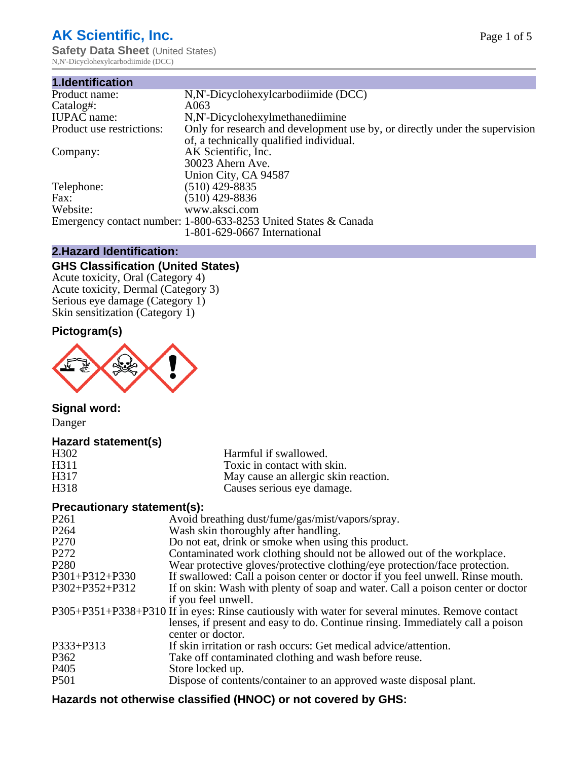# **AK Scientific, Inc.**

**Safety Data Sheet (United States)** N,N'-Dicyclohexylcarbodiimide (DCC)

| 1.Identification          |                                                                             |
|---------------------------|-----------------------------------------------------------------------------|
| Product name:             | N, N'-Dicyclohexylcarbodiimide (DCC)                                        |
| Catalog#:                 | A063                                                                        |
| <b>IUPAC</b> name:        | N,N'-Dicyclohexylmethanediimine                                             |
| Product use restrictions: | Only for research and development use by, or directly under the supervision |
|                           | of, a technically qualified individual.                                     |
| Company:                  | AK Scientific, Inc.                                                         |
|                           | 30023 Ahern Ave.                                                            |
|                           | Union City, CA 94587                                                        |
| Telephone:                | $(510)$ 429-8835                                                            |
| Fax:                      | $(510)$ 429-8836                                                            |
| Website:                  | www.aksci.com                                                               |
|                           | Emergency contact number: 1-800-633-8253 United States & Canada             |
|                           | 1-801-629-0667 International                                                |

### **2.Hazard Identification:**

## **GHS Classification (United States)**

Acute toxicity, Oral (Category 4) Acute toxicity, Dermal (Category 3) Serious eye damage (Category 1) Skin sensitization (Category 1)

## **Pictogram(s)**



## **Signal word:**

Danger

## **Hazard statement(s)**

| H302<br>H311<br>H317<br>H318 | Harmful if swallowed.<br>Toxic in contact with skin.<br>May cause an allergic skin reaction.<br>Causes serious eye damage.                                                                             |
|------------------------------|--------------------------------------------------------------------------------------------------------------------------------------------------------------------------------------------------------|
| Precautionary statement(s):  |                                                                                                                                                                                                        |
| P <sub>261</sub>             | Avoid breathing dust/fume/gas/mist/vapors/spray.                                                                                                                                                       |
| P <sub>264</sub>             | Wash skin thoroughly after handling.                                                                                                                                                                   |
| P <sub>270</sub>             | Do not eat, drink or smoke when using this product.                                                                                                                                                    |
| P <sub>272</sub>             | Contaminated work clothing should not be allowed out of the workplace.                                                                                                                                 |
| P <sub>280</sub>             | Wear protective gloves/protective clothing/eye protection/face protection.                                                                                                                             |
| $P301+P312+P330$             | If swallowed: Call a poison center or doctor if you feel unwell. Rinse mouth.                                                                                                                          |
| P302+P352+P312               | If on skin: Wash with plenty of soap and water. Call a poison center or doctor<br>if you feel unwell.                                                                                                  |
|                              | P305+P351+P338+P310 If in eyes: Rinse cautiously with water for several minutes. Remove contact<br>lenses, if present and easy to do. Continue rinsing. Immediately call a poison<br>center or doctor. |
| P333+P313                    | If skin irritation or rash occurs: Get medical advice/attention.                                                                                                                                       |
| P <sub>362</sub>             | Take off contaminated clothing and wash before reuse.                                                                                                                                                  |
| P <sub>405</sub>             | Store locked up.                                                                                                                                                                                       |
| <b>P501</b>                  | Dispose of contents/container to an approved waste disposal plant.                                                                                                                                     |

## **Hazards not otherwise classified (HNOC) or not covered by GHS:**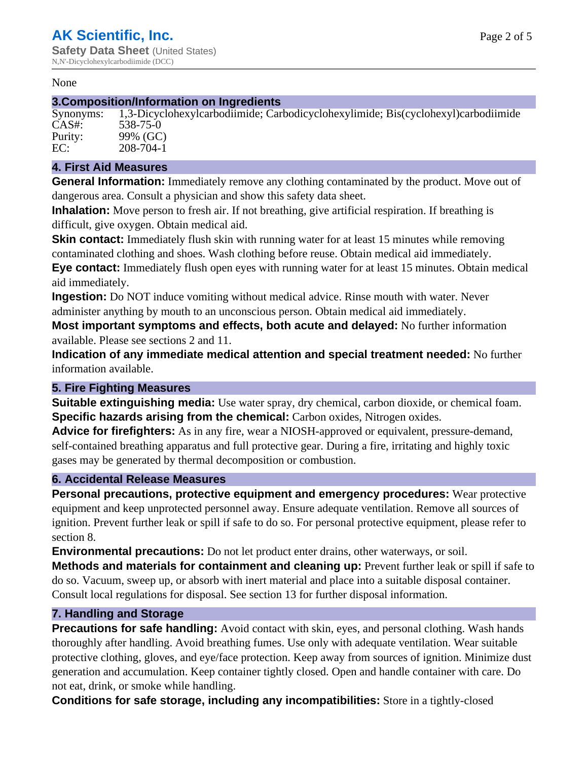#### None

#### **3.Composition/Information on Ingredients**

Synonyms: 1,3-Dicyclohexylcarbodiimide; Carbodicyclohexylimide; Bis(cyclohexyl)carbodiimide CAS#: 538-75-0 Purity: 99% (GC)<br>EC: 208-704-1 EC: 208-704-1

#### **4. First Aid Measures**

**General Information:** Immediately remove any clothing contaminated by the product. Move out of dangerous area. Consult a physician and show this safety data sheet.

**Inhalation:** Move person to fresh air. If not breathing, give artificial respiration. If breathing is difficult, give oxygen. Obtain medical aid.

**Skin contact:** Immediately flush skin with running water for at least 15 minutes while removing contaminated clothing and shoes. Wash clothing before reuse. Obtain medical aid immediately. **Eye contact:** Immediately flush open eyes with running water for at least 15 minutes. Obtain medical aid immediately.

**Ingestion:** Do NOT induce vomiting without medical advice. Rinse mouth with water. Never administer anything by mouth to an unconscious person. Obtain medical aid immediately.

**Most important symptoms and effects, both acute and delayed:** No further information available. Please see sections 2 and 11.

**Indication of any immediate medical attention and special treatment needed:** No further information available.

#### **5. Fire Fighting Measures**

**Suitable extinguishing media:** Use water spray, dry chemical, carbon dioxide, or chemical foam. **Specific hazards arising from the chemical:** Carbon oxides, Nitrogen oxides.

**Advice for firefighters:** As in any fire, wear a NIOSH-approved or equivalent, pressure-demand, self-contained breathing apparatus and full protective gear. During a fire, irritating and highly toxic gases may be generated by thermal decomposition or combustion.

#### **6. Accidental Release Measures**

**Personal precautions, protective equipment and emergency procedures:** Wear protective equipment and keep unprotected personnel away. Ensure adequate ventilation. Remove all sources of ignition. Prevent further leak or spill if safe to do so. For personal protective equipment, please refer to section 8.

**Environmental precautions:** Do not let product enter drains, other waterways, or soil.

**Methods and materials for containment and cleaning up:** Prevent further leak or spill if safe to do so. Vacuum, sweep up, or absorb with inert material and place into a suitable disposal container. Consult local regulations for disposal. See section 13 for further disposal information.

#### **7. Handling and Storage**

**Precautions for safe handling:** Avoid contact with skin, eyes, and personal clothing. Wash hands thoroughly after handling. Avoid breathing fumes. Use only with adequate ventilation. Wear suitable protective clothing, gloves, and eye/face protection. Keep away from sources of ignition. Minimize dust generation and accumulation. Keep container tightly closed. Open and handle container with care. Do not eat, drink, or smoke while handling.

**Conditions for safe storage, including any incompatibilities:** Store in a tightly-closed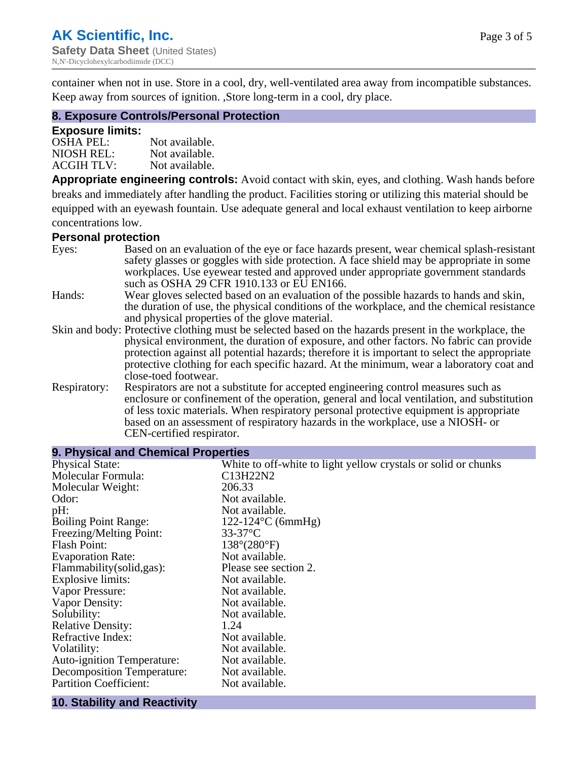container when not in use. Store in a cool, dry, well-ventilated area away from incompatible substances. Keep away from sources of ignition. ,Store long-term in a cool, dry place.

#### **8. Exposure Controls/Personal Protection**

#### **Exposure limits:**

| <b>OSHA PEL:</b>  | Not available. |
|-------------------|----------------|
| NIOSH REL:        | Not available. |
| <b>ACGIH TLV:</b> | Not available. |

**Appropriate engineering controls:** Avoid contact with skin, eyes, and clothing. Wash hands before breaks and immediately after handling the product. Facilities storing or utilizing this material should be equipped with an eyewash fountain. Use adequate general and local exhaust ventilation to keep airborne concentrations low.

#### **Personal protection**

| Eyes:        | Based on an evaluation of the eye or face hazards present, wear chemical splash-resistant<br>safety glasses or goggles with side protection. A face shield may be appropriate in some<br>workplaces. Use eyewear tested and approved under appropriate government standards |
|--------------|-----------------------------------------------------------------------------------------------------------------------------------------------------------------------------------------------------------------------------------------------------------------------------|
|              | such as OSHA 29 CFR 1910.133 or EU EN166.                                                                                                                                                                                                                                   |
| Hands:       | Wear gloves selected based on an evaluation of the possible hazards to hands and skin,                                                                                                                                                                                      |
|              | the duration of use, the physical conditions of the workplace, and the chemical resistance<br>and physical properties of the glove material.                                                                                                                                |
|              | Skin and body: Protective clothing must be selected based on the hazards present in the workplace, the                                                                                                                                                                      |
|              | physical environment, the duration of exposure, and other factors. No fabric can provide<br>protection against all potential hazards; therefore it is important to select the appropriate                                                                                   |
|              | protective clothing for each specific hazard. At the minimum, wear a laboratory coat and<br>close-toed footwear.                                                                                                                                                            |
| Respiratory: | Respirators are not a substitute for accepted engineering control measures such as<br>enclosure or confinement of the operation, general and local ventilation, and substitution<br>of less toxic materials. When respiratory personal protective equipment is appropriate  |
|              | based on an assessment of respiratory hazards in the workplace, use a NIOSH- or                                                                                                                                                                                             |
|              | CEN-certified respirator.                                                                                                                                                                                                                                                   |

| 9. Physical and Chemical Properties |                                                                |  |
|-------------------------------------|----------------------------------------------------------------|--|
| <b>Physical State:</b>              | White to off-white to light yellow crystals or solid or chunks |  |
| Molecular Formula:                  | C13H22N2                                                       |  |
| Molecular Weight:                   | 206.33                                                         |  |
| Odor:                               | Not available.                                                 |  |
| pH:                                 | Not available.                                                 |  |
| <b>Boiling Point Range:</b>         | $122 - 124$ °C (6mmHg)                                         |  |
| Freezing/Melting Point:             | $33-37$ °C                                                     |  |
| <b>Flash Point:</b>                 | $138^{\circ}(280^{\circ}F)$                                    |  |
| <b>Evaporation Rate:</b>            | Not available.                                                 |  |
| Flammability (solid, gas):          | Please see section 2.                                          |  |
| Explosive limits:                   | Not available.                                                 |  |
| Vapor Pressure:                     | Not available.                                                 |  |
| Vapor Density:                      | Not available.                                                 |  |
| Solubility:                         | Not available.                                                 |  |
| <b>Relative Density:</b>            | 1.24                                                           |  |
| Refractive Index:                   | Not available.                                                 |  |
| Volatility:                         | Not available.                                                 |  |
| <b>Auto-ignition Temperature:</b>   | Not available.                                                 |  |
| <b>Decomposition Temperature:</b>   | Not available.                                                 |  |
| <b>Partition Coefficient:</b>       | Not available.                                                 |  |
|                                     |                                                                |  |

#### **10. Stability and Reactivity**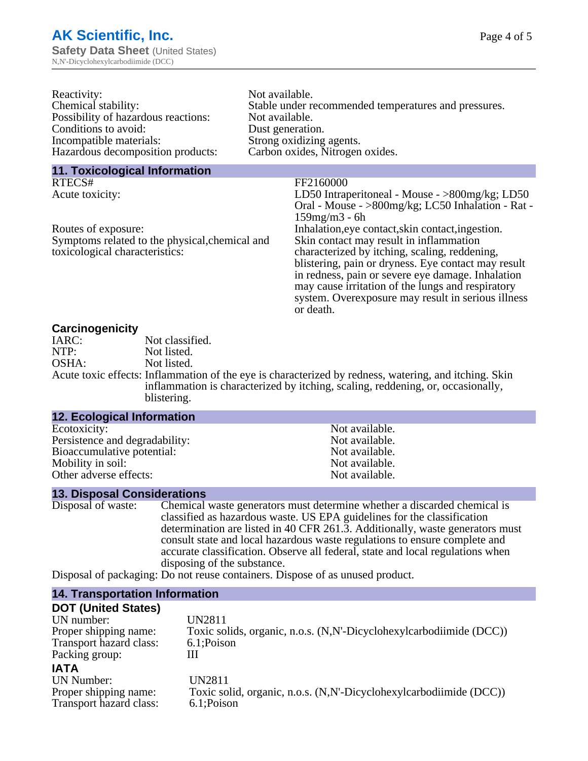| Reactivity:                         | Not available.                                       |
|-------------------------------------|------------------------------------------------------|
| Chemical stability:                 | Stable under recommended temperatures and pressures. |
| Possibility of hazardous reactions: | Not available.                                       |
| Conditions to avoid:                | Dust generation.                                     |
| Incompatible materials:             | Strong oxidizing agents.                             |
| Hazardous decomposition products:   | Carbon oxides, Nitrogen oxides.                      |
| 11. Toxicological Information       |                                                      |
| RTECS#                              | FF2160000                                            |
| Acute toxicity:                     | LD50 Intraperitoneal - Mouse - >800mg/kg; LD50       |
|                                     | Oral - Mouse - > 800mg/kg; LC50 Inhalation - Rat -   |

Symptoms related to the physical,chemical and toxicological characteristics:

I. Oral - Mouse - >800mg/kg; LC50 Inhalation - Rat - 159mg/m3 - 6h Routes of exposure: Inhalation, eye contact, skin contact, ingestion. Skin contact may result in inflammation characterized by itching, scaling, reddening, blistering, pain or dryness. Eye contact may result in redness, pain or severe eye damage. Inhalation may cause irritation of the lungs and respiratory system. Overexposure may result in serious illness or death.

#### **Carcinogenicity**

| IARC:<br>Not classified.                                                                                                                                                                                |  |
|---------------------------------------------------------------------------------------------------------------------------------------------------------------------------------------------------------|--|
|                                                                                                                                                                                                         |  |
| NTP:<br>Not listed.                                                                                                                                                                                     |  |
| OSHA:<br>Not listed.                                                                                                                                                                                    |  |
| Acute toxic effects: Inflammation of the eye is characterized by redness, watering, and itching. Skin<br>inflammation is characterized by itching, scaling, reddening, or, occasionally,<br>blistering. |  |

| <b>12. Ecological Information</b> |                |
|-----------------------------------|----------------|
| Ecotoxicity:                      | Not available. |
| Persistence and degradability:    | Not available. |
| Bioaccumulative potential:        | Not available. |
| Mobility in soil:                 | Not available. |
| Other adverse effects:            | Not available. |

#### **13. Disposal Considerations**

| Disposal of waste: | Chemical waste generators must determine whether a discarded chemical is       |
|--------------------|--------------------------------------------------------------------------------|
|                    | classified as hazardous waste. US EPA guidelines for the classification        |
|                    | determination are listed in 40 CFR 261.3. Additionally, waste generators must  |
|                    | consult state and local hazardous waste regulations to ensure complete and     |
|                    | accurate classification. Observe all federal, state and local regulations when |
|                    | disposing of the substance.                                                    |
|                    | Disposal of packaging: Do not reuse containers. Dispose of as unused product   |

Disposal of packaging: Do not reuse containers. Dispose of as unused product.

#### **14. Transportation Information**

#### **DOT (United States)**

UN number: UN2811 Proper shipping name: Toxic solids, organic, n.o.s. (N,N'-Dicyclohexylcarbodiimide (DCC)) Transport hazard class: 6.1;Poison Packing group: III

## **IATA**

UN Number: UN2811 Transport hazard class: 6.1;Poison

Proper shipping name: Toxic solid, organic, n.o.s. (N,N'-Dicyclohexylcarbodiimide (DCC))